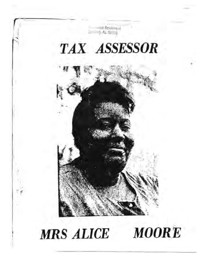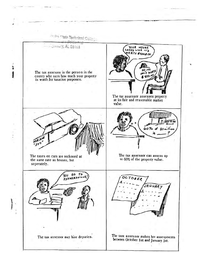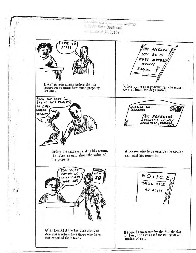125 A. Base Boulevard  $-$  1.  $100.$  /, AL 38103 HAVE 40 ACRES TAX ASSERSOR WILL BE IN FORT DEPOSA MONDAY  $3.30<sub>r.m</sub>$ 這 Every person comes before the tax<br>assessor to state how much property Before going to a community, she must<br>give at least ten days notice. he has. SIGN THE OATH SAYING YOUR PROPERTY IS ONLY WILCOX CO. **WORTH**  $7000.00$ TAX ASSESSOR<br>LOWNOES COUNTY<br>HAYNEVILLE, ALABAMA Before the taxpayer makes his return, A person who lives outside the county he takes an oath about the value of can mail his return in. his property. YOU MUST PAY OR WE  $\frac{NOTIC}{PDEUCSACE}$ WILL CLAIM YOUR LAND 40 ACRES After Dec.81st the tax assessor can If there is no return by the 3rd Monday<br>in Jan., the tax assessor can give a demand a return from those who have not reported their taxes. notice of sale.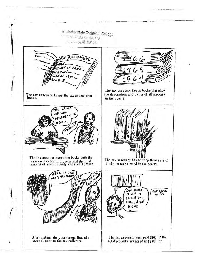Treebolm State Technical Colloge<br>Marchine Las Boulevard  $7.50, p, A1, 83703$ SESSMPA OF LAND The tax assessor keeps books that show the description and owner of all property The tax assessor keeps the tax assessment<br>books. in the county. HE VALUE OF YOUR PROPERTY  $8600$ The tax assesor keeps the books with the The tax assessor has to keep three sets of assessed value of property and the total<br>amount of state, county and special taxes. books on taxes owed in the county. HERE IS THE **LOOKE** DAN RIVER DAN RIVER  $MILLS$  15 MILLS 30 million. I should ge 5600 After making the assessment list, she<br>turns it over to the tax collector. The tax assessor gets paid \$100 if the total property assessed is \$2 million.